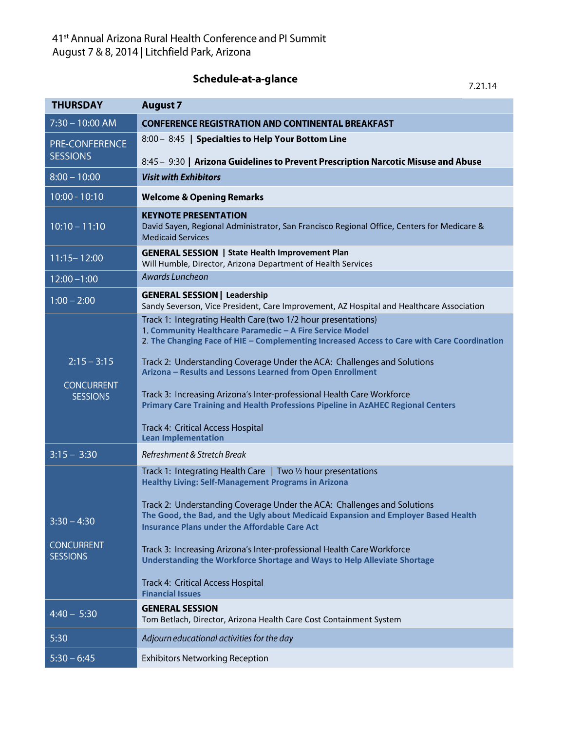Schedule-at-a-glance

7.21.14